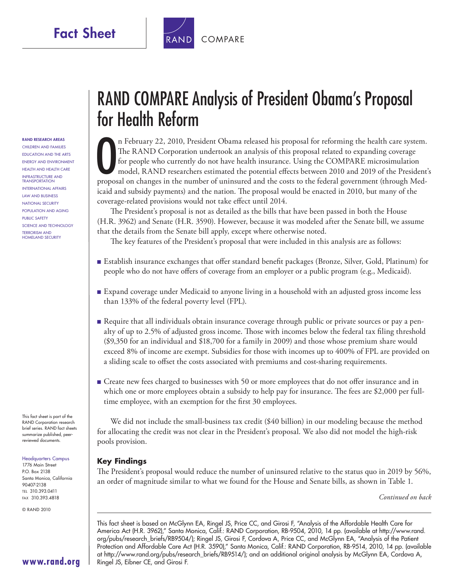Fact Sheet



RAND RESEARCH AREAS Children and Families Education and the Arts Energy and Environment Health and Health Care Infrastructure and Transportation International Affairs Law and Business National Security Population and Aging Public Safety Science and Technology Terrorism and Homeland Security

This fact sheet is part of the RAND Corporation research brief series. RAND  fact sheets summarize published, peerreviewed documents.

#### **Headauarters Campus**

1776 Main Street P.O. Box 2138 Santa Monica, California 90407-2138 Tel 310.393.0411 Fax 310.393.4818

© RAND 2010

# RAND COMPARE Analysis of President Obama's Proposal for Health Reform

O<sub>DOOS</sub> n February 22, 2010, President Obama released his proposal for reforming the health care system. The RAND Corporation undertook an analysis of this proposal related to expanding coverage for people who currently do not have health insurance. Using the COMPARE microsimulation model, RAND researchers estimated the potential effects between 2010 and 2019 of the President's proposal on changes in the number of uninsured and the costs to the federal government (through Medicaid and subsidy payments) and the nation. The proposal would be enacted in 2010, but many of the coverage-related provisions would not take effect until 2014.

The President's proposal is not as detailed as the bills that have been passed in both the House (H.R. 3962) and Senate (H.R. 3590). However, because it was modeled after the Senate bill, we assume that the details from the Senate bill apply, except where otherwise noted.

The key features of the President's proposal that were included in this analysis are as follows:

- Establish insurance exchanges that offer standard benefit packages (Bronze, Silver, Gold, Platinum) for people who do not have offers of coverage from an employer or a public program (e.g., Medicaid).
- Expand coverage under Medicaid to anyone living in a household with an adjusted gross income less than 133% of the federal poverty level (FPL).
- Require that all individuals obtain insurance coverage through public or private sources or pay a penalty of up to 2.5% of adjusted gross income. Those with incomes below the federal tax filing threshold (\$9,350 for an individual and \$18,700 for a family in 2009) and those whose premium share would exceed 8% of income are exempt. Subsidies for those with incomes up to 400% of FPL are provided on a sliding scale to offset the costs associated with premiums and cost-sharing requirements.
- Create new fees charged to businesses with 50 or more employees that do not offer insurance and in which one or more employees obtain a subsidy to help pay for insurance. The fees are \$2,000 per fulltime employee, with an exemption for the first 30 employees.

We did not include the small-business tax credit (\$40 billion) in our modeling because the method for allocating the credit was not clear in the President's proposal. We also did not model the high-risk pools provision.

#### **Key Findings**

The President's proposal would reduce the number of uninsured relative to the status quo in 2019 by 56%, an order of magnitude similar to what we found for the House and Senate bills, as shown in Table 1.

*Continued on back*

This fact sheet is based on McGlynn EA, Ringel JS, Price CC, and Girosi F, "Analysis of the Affordable Health Care for America Act (H.R. 3962)," Santa Monica, Calif.: RAND Corporation, RB-9504, 2010, 14 pp. (available at [http://www.rand.](http://www.rand.org/pubs/research_briefs/RB9504/) [org/pubs/research\\_briefs/RB9504/\)](http://www.rand.org/pubs/research_briefs/RB9504/); Ringel JS, Girosi F, Cordova A, Price CC, and McGlynn EA, "Analysis of the Patient Protection and Affordable Care Act (H.R. 3590)," Santa Monica, Calif.: RAND Corporation, RB-9514, 2010, 14 pp. (available at [http://www.rand.org/pubs/research\\_briefs/RB9514/\)](http://www.rand.org/pubs/research_briefs/RB9514/); and an additional original analysis by McGlynn EA, Cordova A, Ringel JS, Eibner CE, and Girosi F.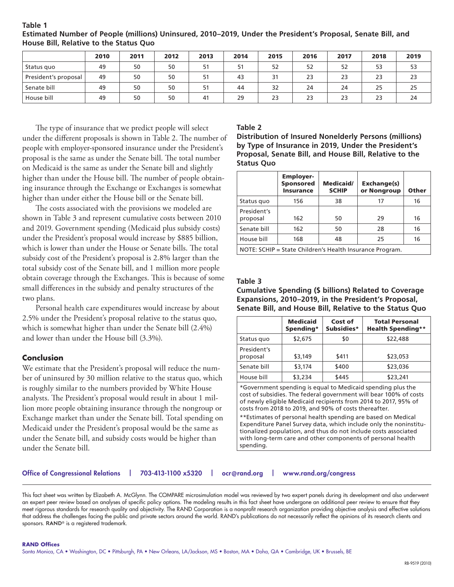|                      | 2010 | 2011 | 2012 | 2013 | 2014 | 2015 | 2016 | 2017 | 2018 | 2019 |
|----------------------|------|------|------|------|------|------|------|------|------|------|
| Status quo           | 49   | 50   | 50   | 51   | 51   | 52   | 52   | 52   | 53   | 53   |
| President's proposal | 49   | 50   | 50   | 51   | 43   | 31   | 23   |      | 23   | 23   |
| Senate bill          | 49   | 50   | 50   | 51   | 44   | 32   | 24   | 24   | 25   | 25   |
| House bill           | 49   | 50   | 50   | 41   | 29   | 23   | 23   |      | 23   | 24   |

#### **Table 1 Estimated Number of People (millions) Uninsured, 2010–2019, Under the President's Proposal, Senate Bill, and House Bill, Relative to the Status Quo**

The type of insurance that we predict people will select under the different proposals is shown in Table 2. The number of people with employer-sponsored insurance under the President's proposal is the same as under the Senate bill. The total number on Medicaid is the same as under the Senate bill and slightly higher than under the House bill. The number of people obtaining insurance through the Exchange or Exchanges is somewhat higher than under either the House bill or the Senate bill.

The costs associated with the provisions we modeled are shown in Table 3 and represent cumulative costs between 2010 and 2019. Government spending (Medicaid plus subsidy costs) under the President's proposal would increase by \$885 billion, which is lower than under the House or Senate bills. The total subsidy cost of the President's proposal is 2.8% larger than the total subsidy cost of the Senate bill, and 1 million more people obtain coverage through the Exchanges. This is because of some small differences in the subsidy and penalty structures of the two plans.

Personal health care expenditures would increase by about 2.5% under the President's proposal relative to the status quo, which is somewhat higher than under the Senate bill (2.4%) and lower than under the House bill (3.3%).

#### **Conclusion**

We estimate that the President's proposal will reduce the number of uninsured by 30 million relative to the status quo, which is roughly similar to the numbers provided by White House analysts. The President's proposal would result in about 1 million more people obtaining insurance through the nongroup or Exchange market than under the Senate bill. Total spending on Medicaid under the President's proposal would be the same as under the Senate bill, and subsidy costs would be higher than under the Senate bill.

#### **Table 2**

**Distribution of Insured Nonelderly Persons (millions) by Type of Insurance in 2019, Under the President's Proposal, Senate Bill, and House Bill, Relative to the Status Quo**

|                                                          | <b>Employer-</b><br><b>Sponsored</b><br><b>Insurance</b> | Medicaid/<br><b>SCHIP</b> | <b>Exchange(s)</b><br>or Nongroup | Other |  |  |
|----------------------------------------------------------|----------------------------------------------------------|---------------------------|-----------------------------------|-------|--|--|
| Status quo                                               | 156                                                      | 38                        | 17                                | 16    |  |  |
| President's<br>proposal                                  | 162                                                      | 50                        | 29                                | 16    |  |  |
| Senate bill                                              | 162                                                      | 50                        | 28                                | 16    |  |  |
| House bill                                               | 168                                                      | 48                        | 25                                | 16    |  |  |
| NOTE: SCHIP = State Children's Health Insurance Program. |                                                          |                           |                                   |       |  |  |

#### **Table 3**

**Cumulative Spending (\$ billions) Related to Coverage Expansions, 2010–2019, in the President's Proposal, Senate Bill, and House Bill, Relative to the Status Quo**

|                         | <b>Medicaid</b><br>Spending* | Cost of<br>Subsidies* | <b>Total Personal</b><br><b>Health Spending**</b> |
|-------------------------|------------------------------|-----------------------|---------------------------------------------------|
| Status quo              | \$2,675                      | 50                    | \$22,488                                          |
| President's<br>proposal | \$3,149                      | \$411                 | \$23,053                                          |
| Senate bill             | \$3,174                      | \$400                 | \$23,036                                          |
| House bill              | \$3,234                      | \$445                 | \$23,241                                          |

\*Government spending is equal to Medicaid spending plus the cost of subsidies. The federal government will bear 100% of costs of newly eligible Medicaid recipients from 2014 to 2017, 95% of costs from 2018 to 2019, and 90% of costs thereafter.

\*\*Estimates of personal health spending are based on Medical Expenditure Panel Survey data, which include only the noninstitutionalized population, and thus do not include costs associated with long-term care and other components of personal health spending.

Office of Congressional Relations | 703-413-1100 x5320 | [ocr@rand.org](mailto:ocr@rand.org) | [www.rand.org/congress](http://www.rand.org/congress)

This fact sheet was written by Elizabeth A. McGlynn. The COMPARE microsimulation model was reviewed by two expert panels during its development and also underwent an expert peer review based on analyses of specific policy options. The modeling results in this fact sheet have undergone an additional peer review to ensure that they meet rigorous standards for research quality and objectivity. The RAND Corporation is a nonprofit research organization providing objective analysis and effective solutions that address the challenges facing the public and private sectors around the world. RAND 's publications do not necessarily reflect the opinions of its research clients and sponsors. RAND<sup>®</sup> is a registered trademark.